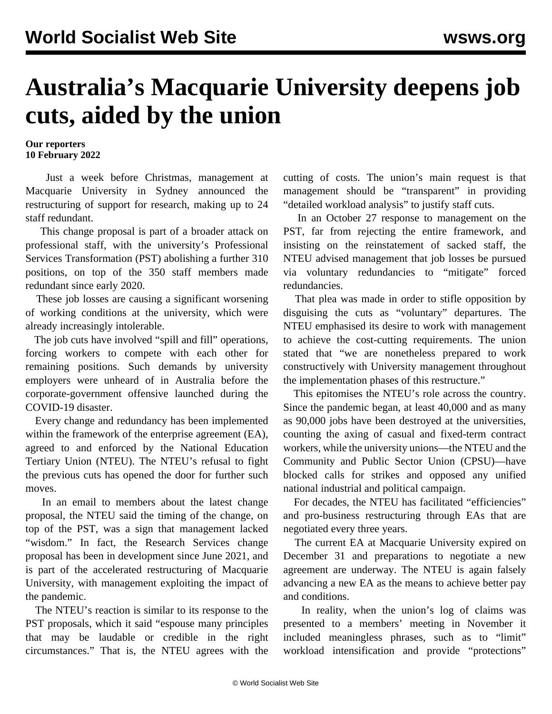## **Australia's Macquarie University deepens job cuts, aided by the union**

## **Our reporters 10 February 2022**

 Just a week before Christmas, management at Macquarie University in Sydney announced the restructuring of support for research, making up to 24 staff redundant.

 This change proposal is part of a broader attack on professional staff, with the university's Professional Services Transformation (PST) [abolishing](/en/articles/2021/11/04/macq-n04.html) a further 310 positions, on top of the 350 staff members made redundant since early 2020.

 These job losses are causing a significant worsening of working conditions at the university, which were already increasingly intolerable.

 The job cuts have involved "spill and fill" operations, forcing workers to compete with each other for remaining positions. Such demands by university employers were unheard of in Australia before the corporate-government offensive launched during the COVID-19 disaster.

 Every change and redundancy has been implemented within the framework of the enterprise agreement (EA), agreed to and enforced by the National Education Tertiary Union (NTEU). The NTEU's refusal to fight the previous cuts has opened the door for further such moves.

 In an email to members about the latest change proposal, the NTEU said the timing of the change, on top of the PST, was a sign that management lacked "wisdom." In fact, the Research Services change proposal has been in development since June 2021, and is part of the accelerated restructuring of Macquarie University, with management exploiting the impact of the pandemic.

 The NTEU's reaction is similar to its response to the PST proposals, which it said "espouse many principles that may be laudable or credible in the right circumstances." That is, the NTEU agrees with the

cutting of costs. The union's main request is that management should be "transparent" in providing "detailed workload analysis" to justify staff cuts.

 In an October 27 response to management on the PST, far from rejecting the entire framework, and insisting on the reinstatement of sacked staff, the NTEU advised management that job losses be pursued via voluntary redundancies to "mitigate" forced redundancies.

 That plea was made in order to stifle opposition by disguising the cuts as "voluntary" departures. The NTEU emphasised its desire to work with management to achieve the cost-cutting requirements. The union stated that "we are nonetheless prepared to work constructively with University management throughout the implementation phases of this restructure."

 This epitomises the NTEU's role across the country. Since the pandemic began, at least 40,000 and as many as 90,000 jobs have been destroyed at the universities, counting the axing of casual and fixed-term contract workers, while the university unions—the NTEU and the Community and Public Sector Union (CPSU)—have blocked calls for strikes and opposed any unified national industrial and political campaign.

 For decades, the NTEU has facilitated "efficiencies" and pro-business restructuring through EAs that are negotiated every three years.

 The current EA at Macquarie University expired on December 31 and preparations to negotiate a new agreement are underway. The NTEU is again falsely advancing a new EA as the means to achieve better pay and conditions.

 In reality, when the union's log of claims was presented to a members' meeting in November it included meaningless phrases, such as to "limit" workload intensification and provide "protections"